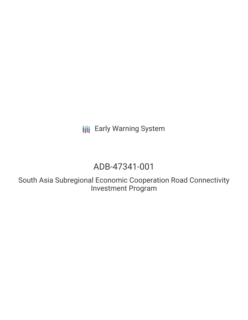**III** Early Warning System

# ADB-47341-001

South Asia Subregional Economic Cooperation Road Connectivity Investment Program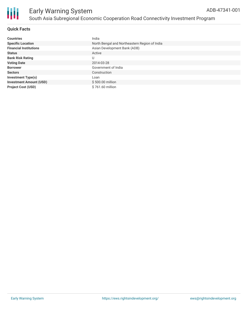

Ш

### **Quick Facts**

| <b>Countries</b>               | India                                         |
|--------------------------------|-----------------------------------------------|
| <b>Specific Location</b>       | North Bengal and Northeastern Region of India |
| <b>Financial Institutions</b>  | Asian Development Bank (ADB)                  |
| <b>Status</b>                  | Active                                        |
| <b>Bank Risk Rating</b>        | U                                             |
| <b>Voting Date</b>             | 2014-03-28                                    |
| <b>Borrower</b>                | Government of India                           |
| <b>Sectors</b>                 | Construction                                  |
| <b>Investment Type(s)</b>      | Loan                                          |
| <b>Investment Amount (USD)</b> | \$500.00 million                              |
| <b>Project Cost (USD)</b>      | \$761.60 million                              |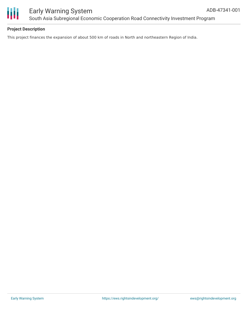

Ш

## Early Warning System South Asia Subregional Economic Cooperation Road Connectivity Investment Program

#### **Project Description**

This project finances the expansion of about 500 km of roads in North and northeastern Region of India.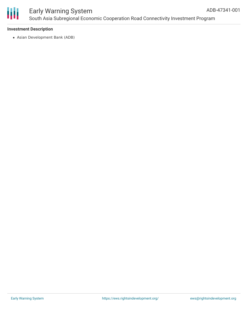

## Early Warning System South Asia Subregional Economic Cooperation Road Connectivity Investment Program

#### **Investment Description**

Asian Development Bank (ADB)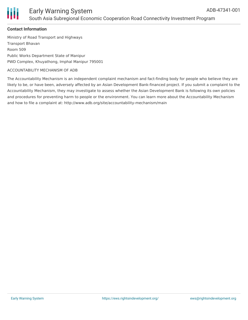



#### **Contact Information**

Ministry of Road Transport and Highways Transport Bhavan Room 509 Public Works Department State of Manipur PWD Complex, Khuyathong, Imphal Manipur 795001

#### ACCOUNTABILITY MECHANISM OF ADB

The Accountability Mechanism is an independent complaint mechanism and fact-finding body for people who believe they are likely to be, or have been, adversely affected by an Asian Development Bank-financed project. If you submit a complaint to the Accountability Mechanism, they may investigate to assess whether the Asian Development Bank is following its own policies and procedures for preventing harm to people or the environment. You can learn more about the Accountability Mechanism and how to file a complaint at: http://www.adb.org/site/accountability-mechanism/main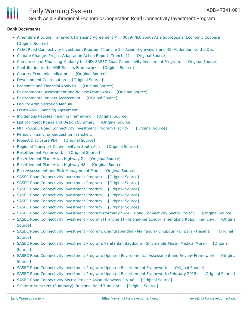## Early Warning System

South Asia Subregional Economic Cooperation Road Connectivity Investment Program

#### **Bank Documents**

- [Amendment](https://ewsdata.rightsindevelopment.org/files/documents/01/ADB-47341-001_bop1bNb.pdf) to the Framework Financing Agreement MFF 0079-IND: South Asia Subregional Economic Coopera [\[Original](https://www.adb.org/projects/documents/mff-0079-ind-sasec-road-connectivity-inv-ffa-a) Source]
- ASEC Road [Connectivity](https://ewsdata.rightsindevelopment.org/files/documents/01/ADB-47341-001_gS7zjLS.pdf) Investment Program (Tranche 1) Asian Highways 2 and 48: Addendum to the Dec
- Climate Change: Project [Adaptation](https://ewsdata.rightsindevelopment.org/files/documents/01/ADB-47341-001_K8IyHIY.pdf) Action Report (Tranche1) [\[Original](https://www.adb.org/projects/documents/sasec-road-connectivity-investment-program-rrp) Source]
- Comparison of Financing Modality for IND: SASEC Road [Connectivity](https://ewsdata.rightsindevelopment.org/files/documents/01/ADB-47341-001_Iog9jju.pdf) Investment Program [\[Original](https://www.adb.org/projects/documents/sasec-road-connectivity-investment-program-rrp) Source]
- [Contribution](https://ewsdata.rightsindevelopment.org/files/documents/01/ADB-47341-001_uZvhWJN.pdf) to the ADB Results Framework [\[Original](https://www.adb.org/projects/documents/sasec-road-connectivity-investment-program-rrp) Source]
- Country Economic [Indicators](https://ewsdata.rightsindevelopment.org/files/documents/01/ADB-47341-001_u0CoU5T.pdf) [\[Original](https://www.adb.org/projects/documents/sasec-road-connectivity-investment-program-rrp) Source]
- [Development](https://ewsdata.rightsindevelopment.org/files/documents/01/ADB-47341-001_bnYY78g.pdf) Coordination [\[Original](https://www.adb.org/projects/documents/sasec-road-connectivity-investment-program-rrp) Source]
- [Economic](https://ewsdata.rightsindevelopment.org/files/documents/01/ADB-47341-001_jtdD5pL.pdf) and Financial Analysis [\[Original](https://www.adb.org/projects/documents/sasec-road-connectivity-investment-program-rrp) Source]
- [Environmental](https://ewsdata.rightsindevelopment.org/files/documents/01/ADB-47341-001_vV5UAyK.pdf) Assessment and Review Framework [\[Original](https://www.adb.org/projects/documents/sasec-road-connectivity-investment-program-rrp) Source]
- [Environmental](https://ewsdata.rightsindevelopment.org/files/documents/01/ADB-47341-001_ms7Zhld.pdf) Impact Assessment [\[Original](https://www.adb.org/projects/documents/sasec-road-connectivity-investment-program-rrp) Source]
- Facility [Administration](https://www.adb.org/projects/documents/sasec-road-connectivity-investment-program-rrp) Manual
- [Framework](https://www.adb.org/projects/documents/sasec-road-connectivity-investment-program-rrp) Financing Agreement
- Indigenous Peoples Planning [Framework](https://ewsdata.rightsindevelopment.org/files/documents/01/ADB-47341-001_71QZgTH.pdf) [\[Original](https://www.adb.org/projects/documents/sasec-road-connectivity-investment-program-rrp) Source]
- List of Project Roads and Design [Summary](https://ewsdata.rightsindevelopment.org/files/documents/01/ADB-47341-001_eoSPID6.pdf) [\[Original](https://www.adb.org/projects/documents/sasec-road-connectivity-investment-program-rrp) Source]
- MFF SASEC Road [Connectivity](https://ewsdata.rightsindevelopment.org/files/documents/01/ADB-47341-001_SkhH6nU.pdf) Investment Program (Facility) [\[Original](https://www.adb.org/projects/documents/mff-sasec-road-connectivity-investment-program-facility-ipsa) Source]
- Periodic [Financing](https://www.adb.org/projects/documents/sasec-road-connectivity-investment-program-rrp) Request for Tranche 1
- Project [Disclosure](https://ewsdata.rightsindevelopment.org/files/documents/01/ADB-47341-001.pdf) PDF [\[Original](https://www.adb.org/printpdf/projects/47341-001/main) Source]
- Regional Transport [Connectivity](https://ewsdata.rightsindevelopment.org/files/documents/01/ADB-47341-001_hlBr9AL.pdf) in South Asia [\[Original](https://www.adb.org/projects/documents/sasec-road-connectivity-investment-program-rrp) Source]
- [Resettlement](https://ewsdata.rightsindevelopment.org/files/documents/01/ADB-47341-001_jJy22Iy.pdf) Framework [\[Original](https://www.adb.org/projects/documents/sasec-road-connectivity-investment-program-rrp) Source]
- [Resettlement](https://ewsdata.rightsindevelopment.org/files/documents/01/ADB-47341-001_jFGcFa5.pdf) Plan: Asian Highway 2 [\[Original](https://www.adb.org/projects/documents/sasec-road-connectivity-investment-program-rrp) Source]
- [Resettlement](https://ewsdata.rightsindevelopment.org/files/documents/01/ADB-47341-001_w1oP6gK.pdf) Plan: Asian Highway 48 [\[Original](https://www.adb.org/projects/documents/sasec-road-connectivity-investment-program-rrp) Source]
- Risk Assessment and Risk [Management](https://ewsdata.rightsindevelopment.org/files/documents/01/ADB-47341-001_CwSgI12.pdf) Plan [\[Original](https://www.adb.org/projects/documents/sasec-road-connectivity-investment-program-rrp) Source]
- SASEC Road [Connectivity](https://ewsdata.rightsindevelopment.org/files/documents/01/ADB-47341-001_n9jUyr7.pdf) Investment Program [\[Original](https://www.adb.org/projects/documents/sasec-road-connectivity-investment-program-rf-feb-2014) Source]
- SASEC Road [Connectivity](https://ewsdata.rightsindevelopment.org/files/documents/01/ADB-47341-001_vItaTnW.pdf) Investment Program [\[Original](https://www.adb.org/projects/documents/sasec-road-connectivity-investment-program-ippf-feb-2014) Source]
- SASEC Road [Connectivity](https://ewsdata.rightsindevelopment.org/files/documents/01/ADB-47341-001_9zlLHmX.pdf) Investment Program [\[Original](https://www.adb.org/projects/documents/sasec-road-connectivity-investment-program-earf-feb-2014) Source]
- SASEC Road [Connectivity](https://ewsdata.rightsindevelopment.org/files/documents/01/ADB-47341-001_YUfmOkH.pdf) Investment Program [\[Original](https://www.adb.org/projects/documents/sasec-road-connectivity-investment-program-rf) Source]
- SASEC Road [Connectivity](https://ewsdata.rightsindevelopment.org/files/documents/01/ADB-47341-001_Zhc16pR.pdf) Investment Program [\[Original](https://www.adb.org/projects/documents/sasec-road-connectivity-investment-program-earf) Source]
- SASEC Road [Connectivity](https://ewsdata.rightsindevelopment.org/files/documents/01/ADB-47341-001_ooZ7XFP.pdf) Investment Program [\[Original](https://www.adb.org/projects/documents/sasec-road-connectivity-investment-program-ippf) Source]
- SASEC Road [Connectivity](https://ewsdata.rightsindevelopment.org/files/documents/01/ADB-47341-001_bIMgRiX.pdf) Investment Program (formerly SASEC Road Connectivity Sector Project) [\[Original](https://www.adb.org/projects/documents/sasec-road-connectivity-investment-program-eia) Source]
- SASEC Road Connectivity Investment Program (Tranche 1) [Imphal-Kangchup-Tamenglong](https://ewsdata.rightsindevelopment.org/files/documents/01/ADB-47341-001_O4ZUOXb.pdf) Road: Final Envi [Original Source]
- SASEC Road Connectivity Investment Program: [Changrabandha](https://ewsdata.rightsindevelopment.org/files/documents/01/ADB-47341-001_DiuJCFN.pdf) Mainaguri Dhupguri Birpara Hasimar [Original Source]
- SASEC Road [Connectivity](https://ewsdata.rightsindevelopment.org/files/documents/01/ADB-47341-001_T12LJf6.pdf) Investment Program: Panitanki Bagdogra Shivmandir More Medical More [Original Source]
- SASEC Road Connectivity Investment Program: Updated [Environmental](https://ewsdata.rightsindevelopment.org/files/documents/01/ADB-47341-001_NPkvRnp.pdf) Assessment and Review Framework [Original Source]
- SASEC Road Connectivity Investment Program: Updated [Resettlement](https://ewsdata.rightsindevelopment.org/files/documents/01/ADB-47341-001_P6AJ66I.pdf) Framework [\[Original](https://www.adb.org/projects/documents/ind-47341-003-rf) Source]
- SASEC Road Connectivity Investment Program: Updated [Resettlement](https://ewsdata.rightsindevelopment.org/files/documents/01/ADB-47341-001_2rksx7D.pdf) Framework (February 2015) [\[Original](https://www.adb.org/projects/documents/ind-sasec-road-connectivity-investment-program-feb-2015-rf) Source]
- SASEC Road [Connectivity](https://ewsdata.rightsindevelopment.org/files/documents/01/ADB-47341-001_b0hBNoh.pdf) Sector Project: Asian Highways 2 & 48 [\[Original](https://www.adb.org/projects/documents/sasec-road-connectivity-sector-project-asian-highways-2-48-eia) Source]
- Sector [Assessment](https://ewsdata.rightsindevelopment.org/files/documents/01/ADB-47341-001_W3Rzlxf.pdf) (Summary): Regional Road Transport [\[Original](https://www.adb.org/projects/documents/sasec-road-connectivity-investment-program-rrp) Source] South Asia Subregional Economic Conectivity Road [Connectivity](https://ewsdata.rightsindevelopment.org/files/documents/01/ADB-47341-001_EojBT0L.pdf) Investment Program - Tranche 1: Period